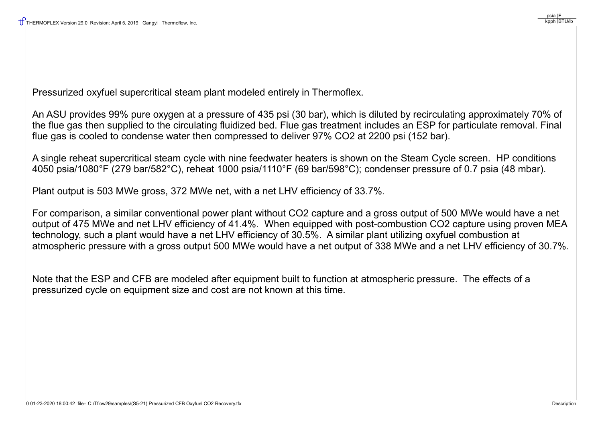Pressurized oxyfuel supercritical steam plant modeled entirely in Thermoflex.

An ASU provides 99% pure oxygen at a pressure of 435 psi (30 bar), which is diluted by recirculating approximately 70% of the flue gas then supplied to the circulating fluidized bed. Flue gas treatment includes an ESP for particulate removal. Final flue gas is cooled to condense water then compressed to deliver 97% CO2 at 2200 psi (152 bar).

A single reheat supercritical steam cycle with nine feedwater heaters is shown on the Steam Cycle screen. HP conditions 4050 psia/1080°F (279 bar/582°C), reheat 1000 psia/1110°F (69 bar/598°C); condenser pressure of 0.7 psia (48 mbar).

Plant output is 503 MWe gross, 372 MWe net, with a net LHV efficiency of 33.7%.

For comparison, a similar conventional power plant without CO2 capture and a gross output of 500 MWe would have a net output of 475 MWe and net LHV efficiency of 41.4%. When equipped with post-combustion CO2 capture using proven MEA technology, such a plant would have a net LHV efficiency of 30.5%. A similar plant utilizing oxyfuel combustion at atmospheric pressure with a gross output 500 MWe would have a net output of 338 MWe and a net LHV efficiency of 30.7%.

Note that the ESP and CFB are modeled after equipment built to function at atmospheric pressure. The effects of a pressurized cycle on equipment size and cost are not known at this time.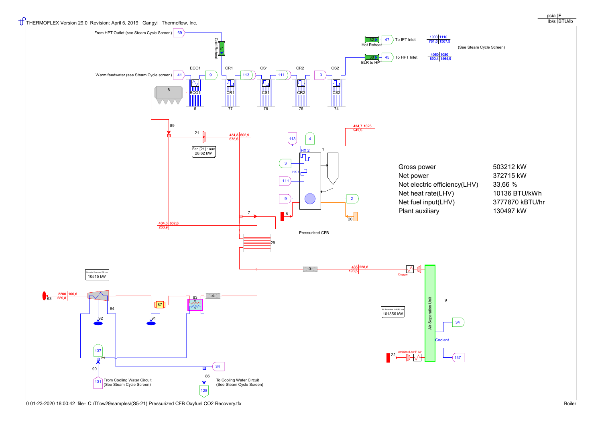



0 01-23-2020 18:00:42 file= C:\Tflow29\samples\(S5-21) Pressurized CFB Oxyfuel CO2 Recovery.tfx Boiler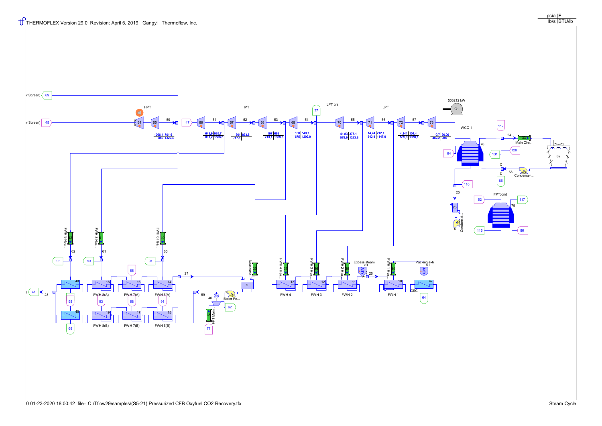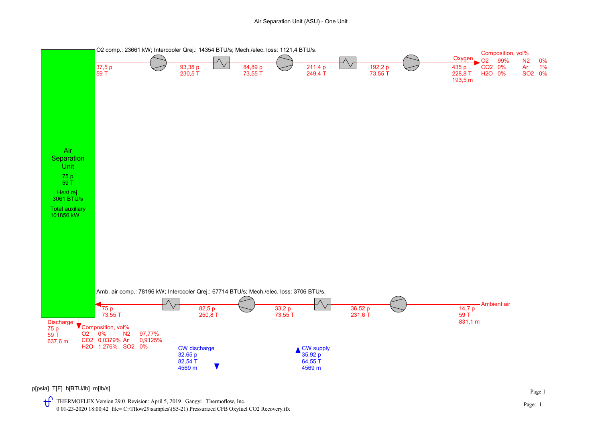

p[psia] T[F] h[BTU/lb] m[lb/s]

THERMOFLEX Version 29.0 Revision: April 5, 2019 Gangyi Thermoflow, Inc. 0 01-23-2020 18:00:42 file= C:\Tflow29\samples\(S5-21) Pressurized CFB Oxyfuel CO2 Recovery.tfx Page 1